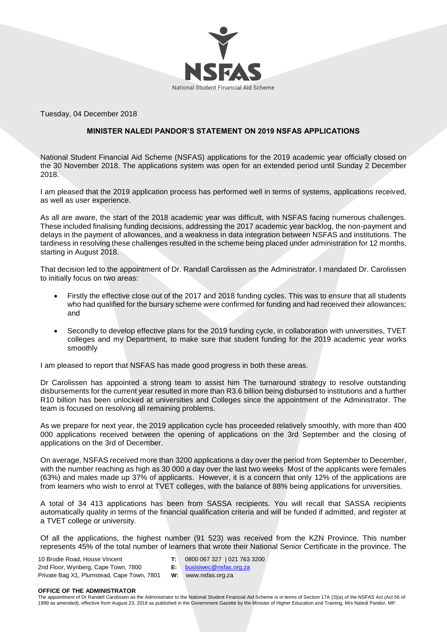

Tuesday, 04 December 2018

## **MINISTER NALEDI PANDOR'S STATEMENT ON 2019 NSFAS APPLICATIONS**

National Student Financial Aid Scheme (NSFAS) applications for the 2019 academic year officially closed on the 30 November 2018. The applications system was open for an extended period until Sunday 2 December 2018.

I am pleased that the 2019 application process has performed well in terms of systems, applications received, as well as user experience.

As all are aware, the start of the 2018 academic year was difficult, with NSFAS facing numerous challenges. These included finalising funding decisions, addressing the 2017 academic year backlog, the non-payment and delays in the payment of allowances, and a weakness in data integration between NSFAS and institutions. The tardiness in resolving these challenges resulted in the scheme being placed under administration for 12 months, starting in August 2018.

That decision led to the appointment of Dr. Randall Carolissen as the Administrator. I mandated Dr. Carolissen to initially focus on two areas:

- Firstly the effective close out of the 2017 and 2018 funding cycles. This was to ensure that all students who had qualified for the bursary scheme were confirmed for funding and had received their allowances; and
- Secondly to develop effective plans for the 2019 funding cycle, in collaboration with universities, TVET colleges and my Department, to make sure that student funding for the 2019 academic year works smoothly

I am pleased to report that NSFAS has made good progress in both these areas.

Dr Carolissen has appointed a strong team to assist him The turnaround strategy to resolve outstanding disbursements for the current year resulted in more than R3.6 billion being disbursed to institutions and a further R10 billion has been unlocked at universities and Colleges since the appointment of the Administrator. The team is focused on resolving all remaining problems.

As we prepare for next year, the 2019 application cycle has proceeded relatively smoothly, with more than 400 000 applications received between the opening of applications on the 3rd September and the closing of applications on the 3rd of December.

On average, NSFAS received more than 3200 applications a day over the period from September to December, with the number reaching as high as 30 000 a day over the last two weeks Most of the applicants were females (63%) and males made up 37% of applicants. However, it is a concern that only 12% of the applications are from learners who wish to enrol at TVET colleges, with the balance of 88% being applications for universities.

A total of 34 413 applications has been from SASSA recipients. You will recall that SASSA recipients automatically quality in terms of the financial qualification criteria and will be funded if admitted, and register at a TVET college or university.

Of all the applications, the highest number (91 523) was received from the KZN Province. This number represents 45% of the total number of learners that wrote their National Senior Certificate in the province. The

10 Brodie Road, House Vincent 2nd Floor, Wynberg, Cape Town, 7800 Private Bag X1, Plumstead, Cape Town, 7801 **T:** 0800 067 327 | 021 763 3200 **E:** [busisiwec@nsfas.org.za](mailto:busisiwec@nsfas.org.za) **W:** www.nsfas.org.za

**OFFICE OF THE ADMINISTRATOR**

The appointment of Dr Randell Carolissen as the Administrator to the National Student Financial Aid Scheme is in terms of Section 17A (3)(a) of the NSFAS Act (Act 56 of 1999 as amended), effective from August 23, 2018 as published in the Government Gazette by the Minister of Higher Education and Training, Mrs Naledi Pandor, MP.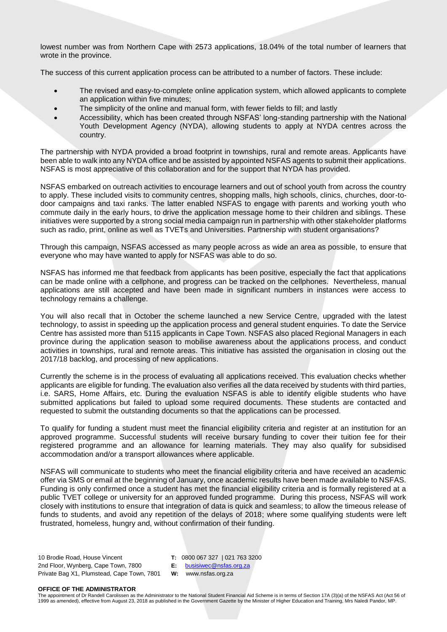lowest number was from Northern Cape with 2573 applications, 18.04% of the total number of learners that wrote in the province.

The success of this current application process can be attributed to a number of factors. These include:

- The revised and easy-to-complete online application system, which allowed applicants to complete an application within five minutes;
- The simplicity of the online and manual form, with fewer fields to fill; and lastly
- Accessibility, which has been created through NSFAS' long-standing partnership with the National Youth Development Agency (NYDA), allowing students to apply at NYDA centres across the country.

The partnership with NYDA provided a broad footprint in townships, rural and remote areas. Applicants have been able to walk into any NYDA office and be assisted by appointed NSFAS agents to submit their applications. NSFAS is most appreciative of this collaboration and for the support that NYDA has provided.

NSFAS embarked on outreach activities to encourage learners and out of school youth from across the country to apply. These included visits to community centres, shopping malls, high schools, clinics, churches, door-todoor campaigns and taxi ranks. The latter enabled NSFAS to engage with parents and working youth who commute daily in the early hours, to drive the application message home to their children and siblings. These initiatives were supported by a strong social media campaign run in partnership with other stakeholder platforms such as radio, print, online as well as TVETs and Universities. Partnership with student organisations?

Through this campaign, NSFAS accessed as many people across as wide an area as possible, to ensure that everyone who may have wanted to apply for NSFAS was able to do so.

NSFAS has informed me that feedback from applicants has been positive, especially the fact that applications can be made online with a cellphone, and progress can be tracked on the cellphones. Nevertheless, manual applications are still accepted and have been made in significant numbers in instances were access to technology remains a challenge.

You will also recall that in October the scheme launched a new Service Centre, upgraded with the latest technology, to assist in speeding up the application process and general student enquiries. To date the Service Centre has assisted more than 5115 applicants in Cape Town. NSFAS also placed Regional Managers in each province during the application season to mobilise awareness about the applications process, and conduct activities in townships, rural and remote areas. This initiative has assisted the organisation in closing out the 2017/18 backlog, and processing of new applications.

Currently the scheme is in the process of evaluating all applications received. This evaluation checks whether applicants are eligible for funding. The evaluation also verifies all the data received by students with third parties, i.e. SARS, Home Affairs, etc. During the evaluation NSFAS is able to identify eligible students who have submitted applications but failed to upload some required documents. These students are contacted and requested to submit the outstanding documents so that the applications can be processed.

To qualify for funding a student must meet the financial eligibility criteria and register at an institution for an approved programme. Successful students will receive bursary funding to cover their tuition fee for their registered programme and an allowance for learning materials. They may also qualify for subsidised accommodation and/or a transport allowances where applicable.

NSFAS will communicate to students who meet the financial eligibility criteria and have received an academic offer via SMS or email at the beginning of January, once academic results have been made available to NSFAS. Funding is only confirmed once a student has met the financial eligibility criteria and is formally registered at a public TVET college or university for an approved funded programme. During this process, NSFAS will work closely with institutions to ensure that integration of data is quick and seamless; to allow the timeous release of funds to students, and avoid any repetition of the delays of 2018; where some qualifying students were left frustrated, homeless, hungry and, without confirmation of their funding.

10 Brodie Road, House Vincent 2nd Floor, Wynberg, Cape Town, 7800 Private Bag X1, Plumstead, Cape Town, 7801 **W:** www.nsfas.org.za **T:** 0800 067 327 | 021 763 3200 **E:** [busisiwec@nsfas.org.za](mailto:busisiwec@nsfas.org.za)

## **OFFICE OF THE ADMINISTRATOR**

The appointment of Dr Randell Carolissen as the Administrator to the National Student Financial Aid Scheme is in terms of Section 17A (3)(a) of the NSFAS Act (Act 56 of 1999 as amended), effective from August 23, 2018 as published in the Government Gazette by the Minister of Higher Education and Training, Mrs Naledi Pandor, MP.